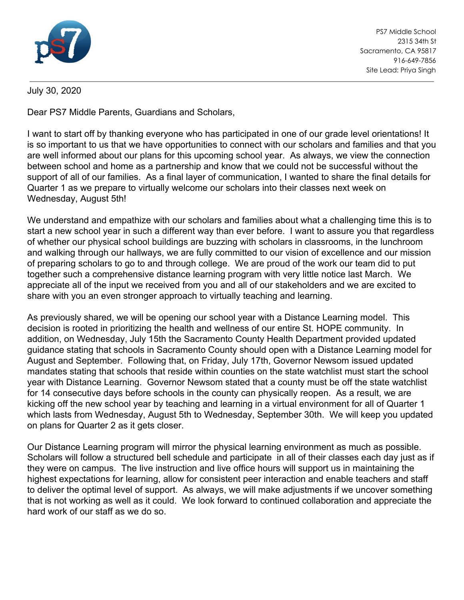

PS7 Middle School 2315 34th St Sacramento, CA 95817 916-649-7856 Site Lead: Priya Singh

## July 30, 2020

Dear PS7 Middle Parents, Guardians and Scholars,

I want to start off by thanking everyone who has participated in one of our grade level orientations! It is so important to us that we have opportunities to connect with our scholars and families and that you are well informed about our plans for this upcoming school year. As always, we view the connection between school and home as a partnership and know that we could not be successful without the support of all of our families. As a final layer of communication, I wanted to share the final details for Quarter 1 as we prepare to virtually welcome our scholars into their classes next week on Wednesday, August 5th!

We understand and empathize with our scholars and families about what a challenging time this is to start a new school year in such a different way than ever before. I want to assure you that regardless of whether our physical school buildings are buzzing with scholars in classrooms, in the lunchroom and walking through our hallways, we are fully committed to our vision of excellence and our mission of preparing scholars to go to and through college. We are proud of the work our team did to put together such a comprehensive distance learning program with very little notice last March. We appreciate all of the input we received from you and all of our stakeholders and we are excited to share with you an even stronger approach to virtually teaching and learning.

As previously shared, we will be opening our school year with a Distance Learning model. This decision is rooted in prioritizing the health and wellness of our entire St. HOPE community. In addition, on Wednesday, July 15th the Sacramento County Health Department provided updated guidance stating that schools in Sacramento County should open with a Distance Learning model for August and September. Following that, on Friday, July 17th, Governor Newsom issued updated mandates stating that schools that reside within counties on the state watchlist must start the school year with Distance Learning. Governor Newsom stated that a county must be off the state watchlist for 14 consecutive days before schools in the county can physically reopen. As a result, we are kicking off the new school year by teaching and learning in a virtual environment for all of Quarter 1 which lasts from Wednesday, August 5th to Wednesday, September 30th. We will keep you updated on plans for Quarter 2 as it gets closer.

Our Distance Learning program will mirror the physical learning environment as much as possible. Scholars will follow a structured bell schedule and participate in all of their classes each day just as if they were on campus. The live instruction and live office hours will support us in maintaining the highest expectations for learning, allow for consistent peer interaction and enable teachers and staff to deliver the optimal level of support. As always, we will make adjustments if we uncover something that is not working as well as it could. We look forward to continued collaboration and appreciate the hard work of our staff as we do so.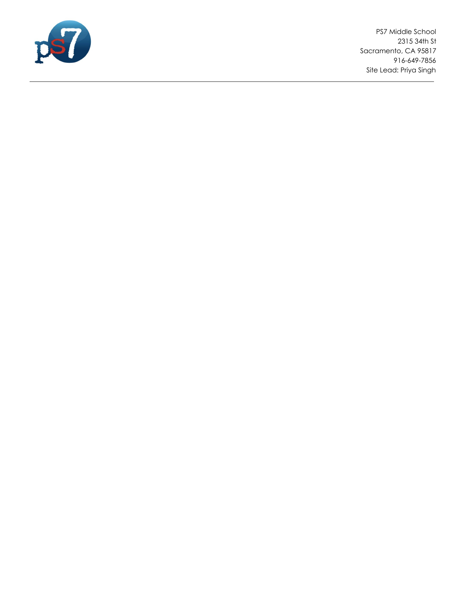

PS7 Middle School 2315 34th St Sacramento, CA 95817 916-649-7856 Site Lead: Priya Singh